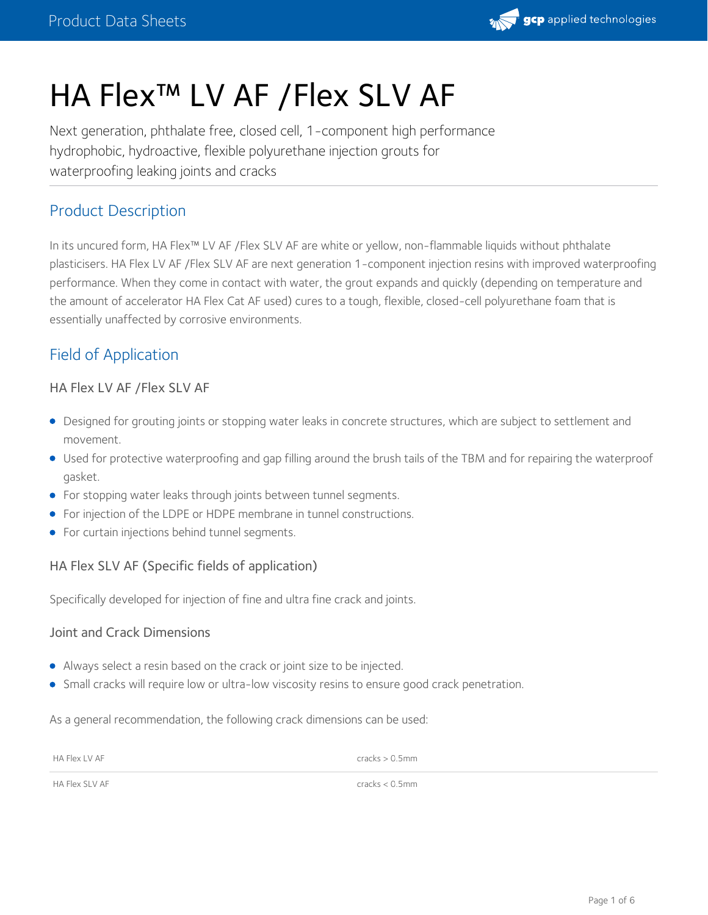

# HA Flex™ LV AF /Flex SLV AF

Next generation, phthalate free, closed cell, 1-component high performance hydrophobic, hydroactive, flexible polyurethane injection grouts for waterproofing leaking joints and cracks

## Product Description

In its uncured form, HA Flex™ LV AF /Flex SLV AF are white or yellow, non-flammable liquids without phthalate plasticisers. HA Flex LV AF /Flex SLV AF are next generation 1-component injection resins with improved waterproofing performance. When they come in contact with water, the grout expands and quickly (depending on temperature and the amount of accelerator HA Flex Cat AF used) cures to a tough, flexible, closed-cell polyurethane foam that is essentially unaffected by corrosive environments.

# Field of Application

#### HA Flex LV AF /Flex SLV AF

- Designed for grouting joints or stopping water leaks in concrete structures, which are subject to settlement and movement.
- Used for protective waterproofing and gap filling around the brush tails of the TBM and for repairing the waterproof gasket.
- **•** For stopping water leaks through joints between tunnel segments.
- For injection of the LDPE or HDPE membrane in tunnel constructions.
- **•** For curtain injections behind tunnel segments.

#### HA Flex SLV AF (Specific fields of application)

Specifically developed for injection of fine and ultra fine crack and joints.

#### Joint and Crack Dimensions

- Always select a resin based on the crack or joint size to be injected.
- **Small cracks will require low or ultra-low viscosity resins to ensure good crack penetration.**

As a general recommendation, the following crack dimensions can be used:

| HA Flex LV AF | $cracks > 0.5$ mm<br>. |
|---------------|------------------------|
|               |                        |

HA Flex SLV AF cracks < 0.5mm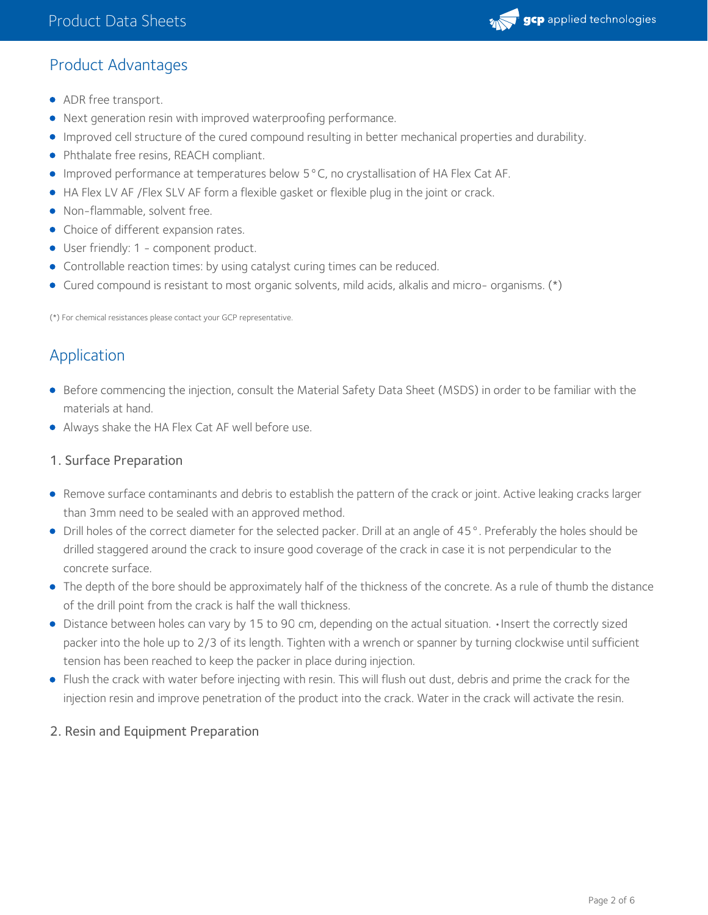# Product Advantages

- ADR free transport.
- Next generation resin with improved waterproofing performance.
- Improved cell structure of the cured compound resulting in better mechanical properties and durability.
- Phthalate free resins, REACH compliant.
- Improved performance at temperatures below 5°C, no crystallisation of HA Flex Cat AF.
- HA Flex LV AF /Flex SLV AF form a flexible gasket or flexible plug in the joint or crack.
- Non-flammable, solvent free.
- Choice of different expansion rates.
- User friendly: 1 component product.
- Controllable reaction times: by using catalyst curing times can be reduced.
- Cured compound is resistant to most organic solvents, mild acids, alkalis and micro- organisms. (\*)

(\*) For chemical resistances please contact your GCP representative.

# Application

- Before commencing the injection, consult the Material Safety Data Sheet (MSDS) in order to be familiar with the materials at hand.
- Always shake the HA Flex Cat AF well before use.

# 1. Surface Preparation

- Remove surface contaminants and debris to establish the pattern of the crack or joint. Active leaking cracks larger than 3mm need to be sealed with an approved method.
- Drill holes of the correct diameter for the selected packer. Drill at an angle of 45°. Preferably the holes should be drilled staggered around the crack to insure good coverage of the crack in case it is not perpendicular to the concrete surface.
- The depth of the bore should be approximately half of the thickness of the concrete. As a rule of thumb the distance of the drill point from the crack is half the wall thickness.
- Distance between holes can vary by 15 to 90 cm, depending on the actual situation. •Insert the correctly sized packer into the hole up to 2/3 of its length. Tighten with a wrench or spanner by turning clockwise until sufficient tension has been reached to keep the packer in place during injection.
- Flush the crack with water before injecting with resin. This will flush out dust, debris and prime the crack for the injection resin and improve penetration of the product into the crack. Water in the crack will activate the resin.

# 2. Resin and Equipment Preparation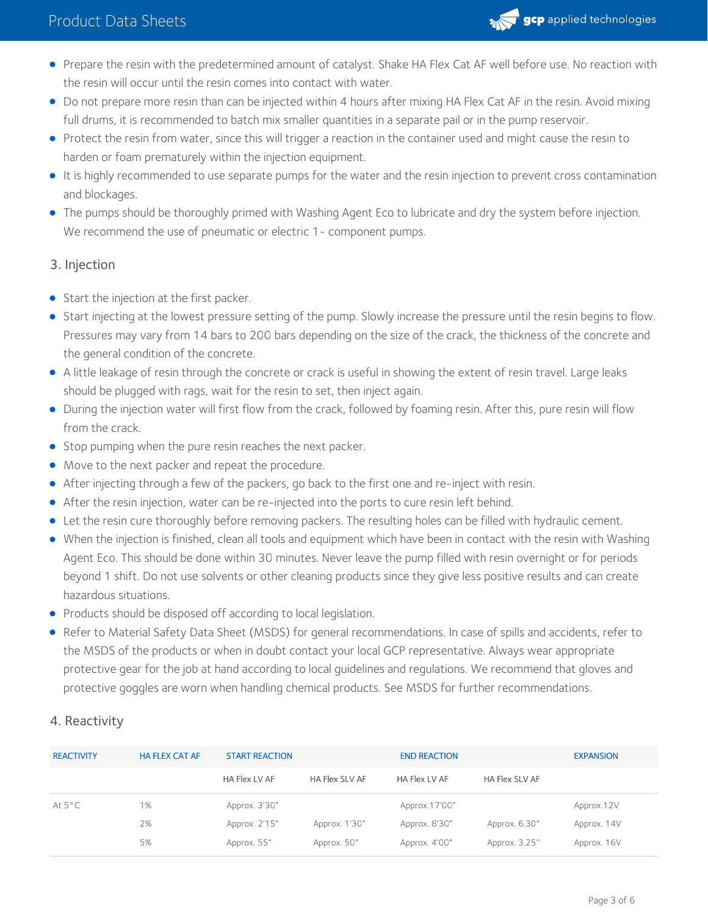

- Prepare the resin with the predetermined amount of catalyst. Shake HA Flex Cat AF well before use. No reaction with the resin will occur until the resin comes into contact with water.
- Do not prepare more resin than can be injected within 4 hours after mixing HA Flex Cat AF in the resin. Avoid mixing full drums, it is recommended to batch mix smaller quantities in a separate pail or in the pump reservoir.
- Protect the resin from water, since this will trigger a reaction in the container used and might cause the resin to harden or foam prematurely within the injection equipment.
- It is highly recommended to use separate pumps for the water and the resin injection to prevent cross contamination and blockages.
- The pumps should be thoroughly primed with Washing Agent Eco to lubricate and dry the system before injection. We recommend the use of pneumatic or electric 1 - component pumps.

#### 3. Injection

- Start the injection at the first packer.
- Start injecting at the lowest pressure setting of the pump. Slowly increase the pressure until the resin begins to flow. Pressures may vary from 14 bars to 200 bars depending on the size of the crack, the thickness of the concrete and the general condition of the concrete.
- A little leakage of resin through the concrete or crack is useful in showing the extent of resin travel. Large leaks should be plugged with rags, wait for the resin to set, then inject again.
- During the injection water will first flow from the crack, followed by foaming resin. After this, pure resin will flow from the crack.
- **Stop pumping when the pure resin reaches the next packer.**
- Move to the next packer and repeat the procedure.
- After injecting through a few of the packers, go back to the first one and re-inject with resin.
- After the resin injection, water can be re-injected into the ports to cure resin left behind.
- Let the resin cure thoroughly before removing packers. The resulting holes can be filled with hydraulic cement.
- When the injection is finished, clean all tools and equipment which have been in contact with the resin with Washing Agent Eco. This should be done within 30 minutes. Never leave the pump filled with resin overnight or for periods beyond 1 shift. Do not use solvents or other cleaning products since they give less positive results and can create hazardous situations.
- Products should be disposed off according to local legislation.
- Refer to Material Safety Data Sheet (MSDS) for general recommendations. In case of spills and accidents, refer to the MSDS of the products or when in doubt contact your local GCP representative. Always wear appropriate protective gear for the job at hand according to local guidelines and regulations. We recommend that gloves and protective goggles are worn when handling chemical products. See MSDS for further recommendations.

#### 4. Reactivity

| <b>REACTIVITY</b> | <b>HA FLEX CAT AF</b> | <b>START REACTION</b> |                | <b>END REACTION</b> |                | <b>EXPANSION</b> |
|-------------------|-----------------------|-----------------------|----------------|---------------------|----------------|------------------|
|                   |                       | HA Flex LV AF         | HA Flex SLV AF | HA Flex LV AF       | HA Flex SLV AF |                  |
| At $5^{\circ}$ C  | 1%                    | Approx. 3'30"         |                | Approx.17'00"       |                | Approx.12V       |
|                   | 2%                    | Approx. 2'15"         | Approx. 1'30"  | Approx. 8'30"       | Approx. 6.30"  | Approx. 14V      |
|                   | 5%                    | Approx. 55"           | Approx. 50"    | Approx. 4'00"       | Approx. 3.25"  | Approx. 16V      |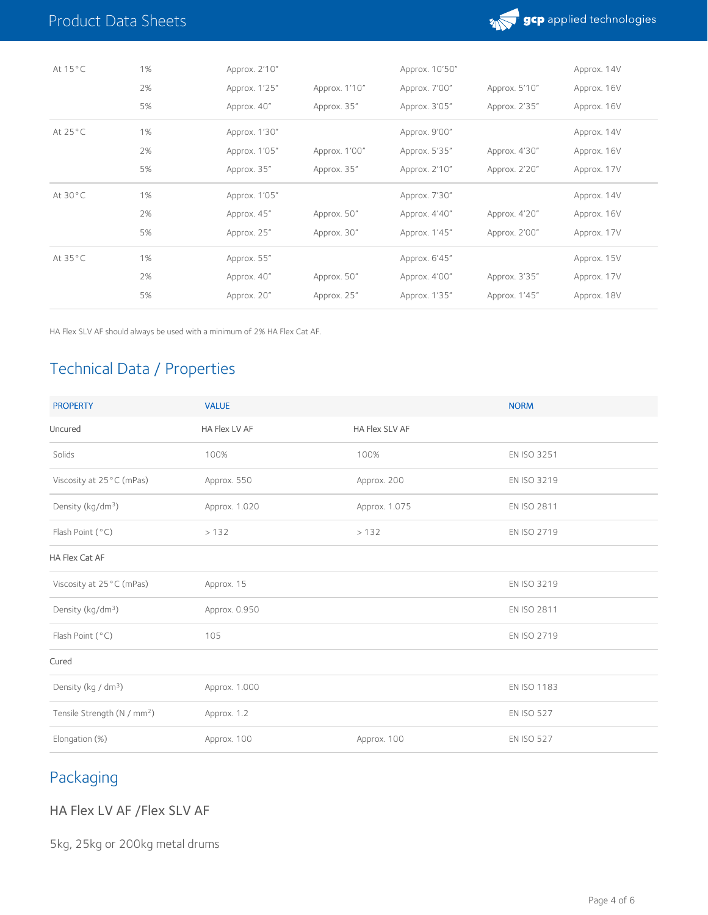

| At $15^{\circ}$ C | 1% | Approx. 2'10" |               | Approx. 10'50" |               | Approx. 14V |
|-------------------|----|---------------|---------------|----------------|---------------|-------------|
|                   | 2% | Approx. 1'25" | Approx. 1'10" | Approx. 7'00"  | Approx. 5'10" | Approx. 16V |
|                   | 5% | Approx. 40"   | Approx. 35"   | Approx. 3'05"  | Approx. 2'35" | Approx. 16V |
| At $25^{\circ}$ C | 1% | Approx. 1'30" |               | Approx. 9'00"  |               | Approx. 14V |
|                   | 2% | Approx. 1'05" | Approx. 1'00" | Approx. 5'35"  | Approx. 4'30" | Approx. 16V |
|                   | 5% | Approx. 35"   | Approx. 35"   | Approx. 2'10"  | Approx. 2'20" | Approx. 17V |
| At 30°C           | 1% | Approx. 1'05" |               | Approx. 7'30"  |               | Approx. 14V |
|                   | 2% | Approx. 45"   | Approx. 50"   | Approx. 4'40"  | Approx. 4'20" | Approx. 16V |
|                   | 5% | Approx. 25"   | Approx. 30"   | Approx. 1'45"  | Approx. 2'00" | Approx. 17V |
| At 35°C           | 1% | Approx. 55"   |               | Approx. 6'45"  |               | Approx. 15V |
|                   | 2% | Approx. 40"   | Approx. 50"   | Approx. 4'00"  | Approx. 3'35" | Approx. 17V |
|                   | 5% | Approx. 20"   | Approx. 25"   | Approx. 1'35"  | Approx. 1'45" | Approx. 18V |

HA Flex SLV AF should always be used with a minimum of 2% HA Flex Cat AF.

# Technical Data / Properties

| <b>PROPERTY</b>                         | <b>VALUE</b>  |                | <b>NORM</b>       |
|-----------------------------------------|---------------|----------------|-------------------|
| Uncured                                 | HA Flex LV AF | HA Flex SLV AF |                   |
| Solids                                  | 100%          | 100%           | EN ISO 3251       |
| Viscosity at 25°C (mPas)                | Approx. 550   | Approx. 200    | EN ISO 3219       |
| Density (kg/dm <sup>3</sup> )           | Approx. 1.020 | Approx. 1.075  | EN ISO 2811       |
| Flash Point (°C)                        | >132          | >132           | EN ISO 2719       |
| HA Flex Cat AF                          |               |                |                   |
| Viscosity at 25°C (mPas)                | Approx. 15    |                | EN ISO 3219       |
| Density (kg/dm <sup>3</sup> )           | Approx. 0.950 |                | EN ISO 2811       |
| Flash Point (°C)                        | 105           |                | EN ISO 2719       |
| Cured                                   |               |                |                   |
| Density (kg / dm <sup>3</sup> )         | Approx. 1.000 |                | EN ISO 1183       |
| Tensile Strength (N / mm <sup>2</sup> ) | Approx. 1.2   |                | <b>EN ISO 527</b> |
| Elongation (%)                          | Approx. 100   | Approx. 100    | <b>EN ISO 527</b> |

# Packaging

HA Flex LV AF /Flex SLV AF

5kg, 25kg or 200kg metal drums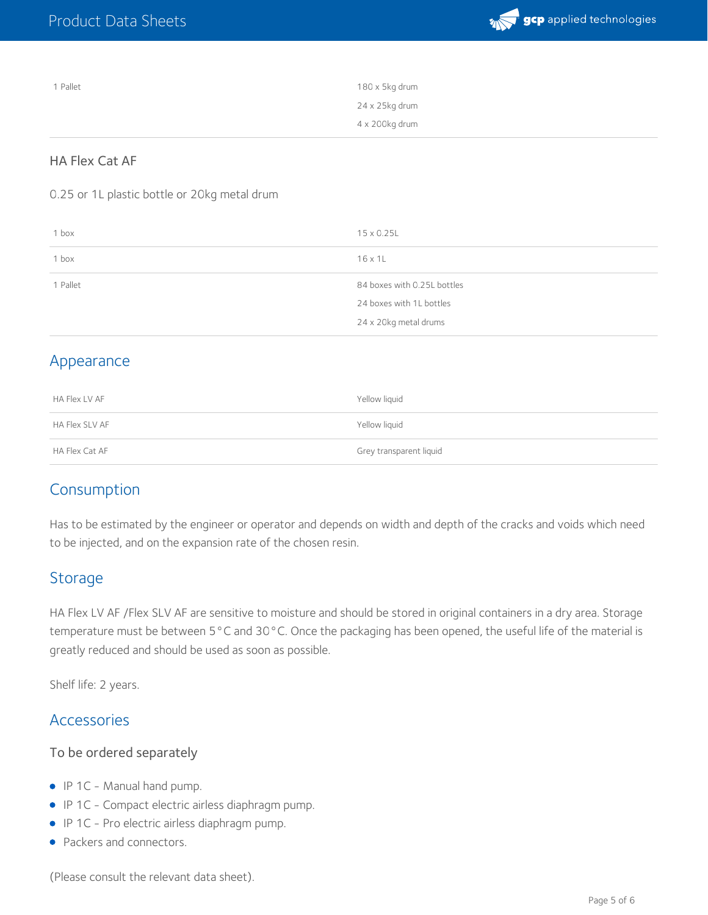

| 1 Pallet | 180 x 5kg drum |
|----------|----------------|
|          | 24 x 25kg drum |
|          | 4 x 200kg drum |

#### HA Flex Cat AF

0.25 or 1L plastic bottle or 20kg metal drum

| 1 box    | 15 x 0.25L                  |
|----------|-----------------------------|
| 1 box    | $16 \times 11$              |
| 1 Pallet | 84 boxes with 0.25L bottles |
|          | 24 boxes with 1L bottles    |
|          | 24 x 20kg metal drums       |

### Appearance

| HA Flex LV AF  | Yellow liguid           |
|----------------|-------------------------|
| HA Flex SLV AF | Yellow liquid           |
| HA Flex Cat AF | Grey transparent liquid |

### Consumption

Has to be estimated by the engineer or operator and depends on width and depth of the cracks and voids which need to be injected, and on the expansion rate of the chosen resin.

### **Storage**

HA Flex LV AF /Flex SLV AF are sensitive to moisture and should be stored in original containers in a dry area. Storage temperature must be between 5°C and 30°C. Once the packaging has been opened, the useful life of the material is greatly reduced and should be used as soon as possible.

Shelf life: 2 years.

### Accessories

#### To be ordered separately

- IP 1C Manual hand pump.
- IP 1C Compact electric airless diaphragm pump.
- IP 1C Pro electric airless diaphragm pump.
- Packers and connectors.

(Please consult the relevant data sheet).